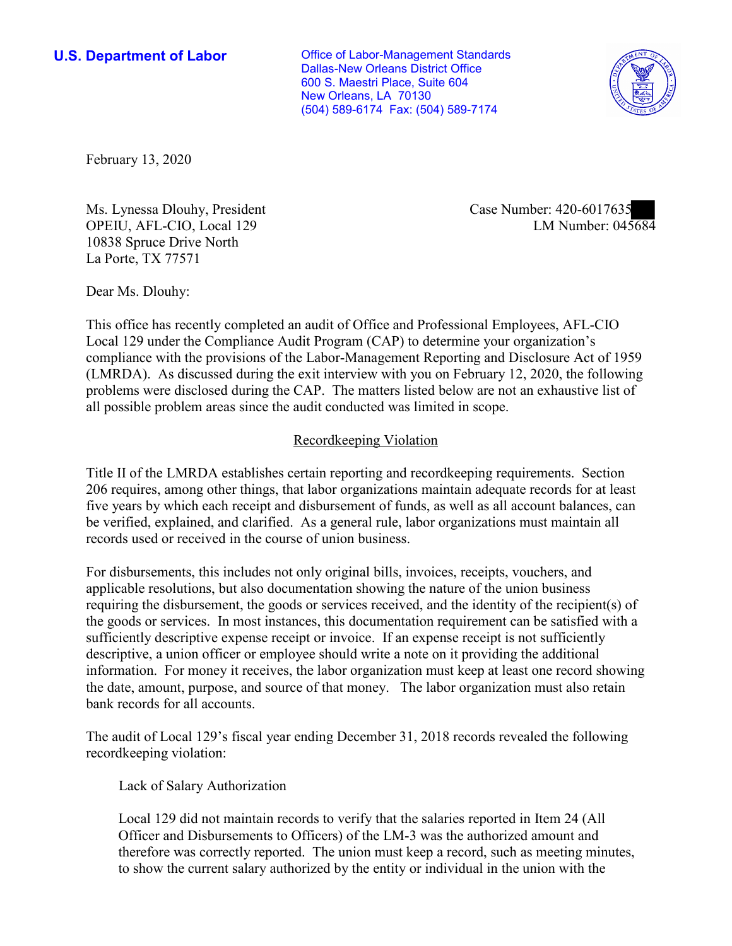New Orleans, LA 70130 **U.S. Department of Labor Conservative Conservative Conservative Conservative Conservative Conservative Conservative Conservative Conservative Conservative Conservative Conservative Conservative Conservative Conservative** Dallas-New Orleans District Office 600 S. Maestri Place, Suite 604 (504) 589-6174 Fax: (504) 589-7174



February 13, 2020

Ms. Lynessa Dlouhy, President OPEIU, AFL-CIO, Local 129 10838 Spruce Drive North La Porte, TX 77571

Case Number: 420-6017635<br>LM Number: 045684

Dear Ms. Dlouhy:

 Local 129 under the Compliance Audit Program (CAP) to determine your organization's This office has recently completed an audit of Office and Professional Employees, AFL-CIO compliance with the provisions of the Labor-Management Reporting and Disclosure Act of 1959 (LMRDA). As discussed during the exit interview with you on February 12, 2020, the following problems were disclosed during the CAP. The matters listed below are not an exhaustive list of all possible problem areas since the audit conducted was limited in scope.

## Recordkeeping Violation

 Title II of the LMRDA establishes certain reporting and recordkeeping requirements. Section 206 requires, among other things, that labor organizations maintain adequate records for at least five years by which each receipt and disbursement of funds, as well as all account balances, can be verified, explained, and clarified. As a general rule, labor organizations must maintain all records used or received in the course of union business.

For disbursements, this includes not only original bills, invoices, receipts, vouchers, and applicable resolutions, but also documentation showing the nature of the union business requiring the disbursement, the goods or services received, and the identity of the recipient(s) of the goods or services. In most instances, this documentation requirement can be satisfied with a sufficiently descriptive expense receipt or invoice. If an expense receipt is not sufficiently descriptive, a union officer or employee should write a note on it providing the additional information. For money it receives, the labor organization must keep at least one record showing the date, amount, purpose, and source of that money. The labor organization must also retain bank records for all accounts.

 The audit of Local 129's fiscal year ending December 31, 2018 records revealed the following recordkeeping violation:

Lack of Salary Authorization

Local 129 did not maintain records to verify that the salaries reported in Item 24 (All Officer and Disbursements to Officers) of the LM-3 was the authorized amount and therefore was correctly reported. The union must keep a record, such as meeting minutes, to show the current salary authorized by the entity or individual in the union with the